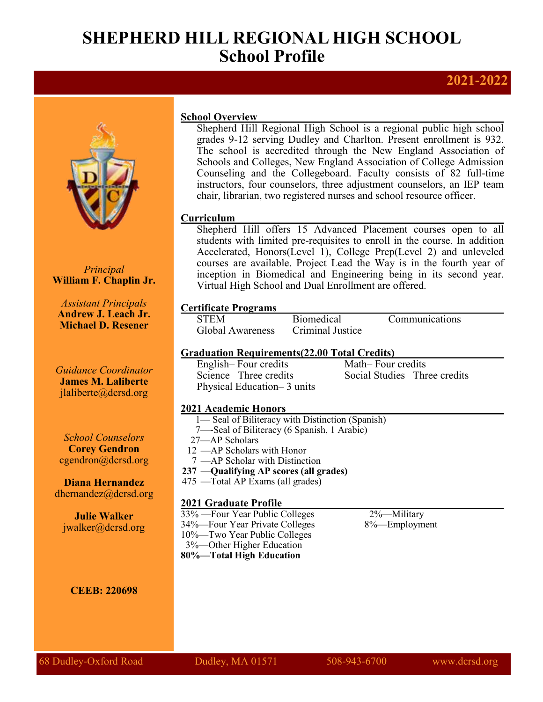# **SHEPHERD HILL REGIONAL HIGH SCHOOL School Profile**

## **2021-2022**



*Principal* **William F. Chaplin Jr.**

*Assistant Principals* **Andrew J. Leach Jr. Michael D. Resener**

*Guidance Coordinator* **James M. Laliberte** jlaliberte@dcrsd.org

*School Counselors* **Corey Gendron** cgendron@dcrsd.org

**Diana Hernandez** dhernandez@dcrsd.org

**Julie Walker** jwalker@dcrsd.org

**CEEB: 220698**

### **School Overview**

Shepherd Hill Regional High School is a regional public high school grades 9-12 serving Dudley and Charlton. Present enrollment is 932. The school is accredited through the New England Association of Schools and Colleges, New England Association of College Admission Counseling and the Collegeboard. Faculty consists of 82 full-time instructors, four counselors, three adjustment counselors, an IEP team chair, librarian, two registered nurses and school resource officer.

### **Curriculum**

Shepherd Hill offers 15 Advanced Placement courses open to all students with limited pre-requisites to enroll in the course. In addition Accelerated, Honors(Level 1), College Prep(Level 2) and unleveled courses are available. Project Lead the Way is in the fourth year of inception in Biomedical and Engineering being in its second year. Virtual High School and Dual Enrollment are offered.

# **Certificate Programs**

Global Awareness Criminal Justice

Biomedical Communications

### **Graduation Requirements(22.00 Total Credits)**

English– Four credits Math– Four credits Science– Three credits Social Studies– Three credits Physical Education– 3 units

## **2021 Academic Honors**

- 1— Seal of Biliteracy with Distinction (Spanish)
- 7—-Seal of Biliteracy (6 Spanish, 1 Arabic)
- 27—AP Scholars

12 —AP Scholars with Honor

- 7 —AP Scholar with Distinction
- **237 —Qualifying AP scores (all grades)**
- 475 —Total AP Exams (all grades)

### **2021 Graduate Profile**

33% —Four Year Public Colleges 2%—Military 34%—Four Year Private Colleges 8%—Employment 10%—Two Year Public Colleges 3%—Other Higher Education

**80%—Total High Education**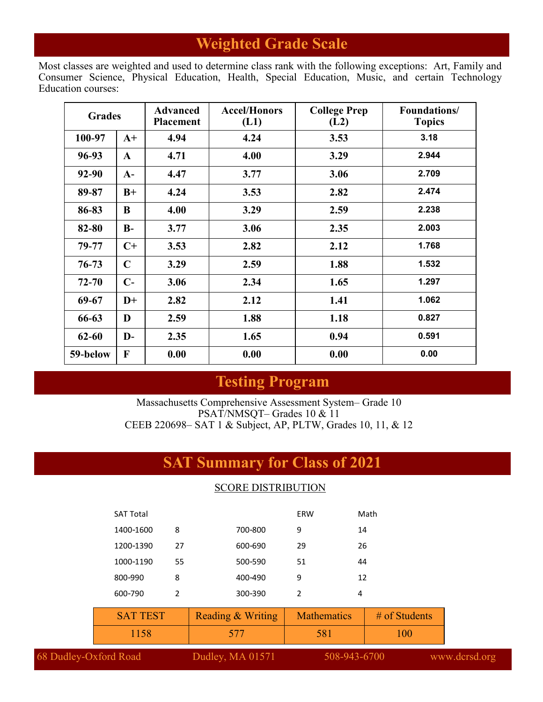# **Weighted Grade Scale**

Most classes are weighted and used to determine class rank with the following exceptions: Art, Family and Consumer Science, Physical Education, Health, Special Education, Music, and certain Technology Education courses:

| <b>Grades</b> |              | <b>Advanced</b><br><b>Placement</b> | <b>Accel/Honors</b><br><b>College Prep</b><br>(L1)<br>(L2) |      | Foundations/<br><b>Topics</b> |  |
|---------------|--------------|-------------------------------------|------------------------------------------------------------|------|-------------------------------|--|
| 100-97        | $A+$         | 4.94                                | 4.24                                                       | 3.53 | 3.18                          |  |
| 96-93         | $\mathbf{A}$ | 4.71                                | 4.00                                                       | 3.29 | 2.944                         |  |
| 92-90         | $A-$         | 4.47                                | 3.77                                                       | 3.06 | 2.709                         |  |
| 89-87         | $B+$         | 4.24                                | 3.53                                                       | 2.82 | 2.474                         |  |
| 86-83         | B            | 4.00                                | 3.29                                                       | 2.59 | 2.238                         |  |
| 82-80         | $B -$        | 3.77                                | 3.06                                                       | 2.35 | 2.003                         |  |
| 79-77         | $C+$         | 3.53                                | 2.82                                                       | 2.12 | 1.768                         |  |
| 76-73         | $\mathbf C$  | 3.29                                | 2.59                                                       | 1.88 | 1.532                         |  |
| $72 - 70$     | $C-$         | 3.06                                | 2.34                                                       | 1.65 | 1.297                         |  |
| 69-67         | $D+$         | 2.82                                | 2.12                                                       | 1.41 | 1.062                         |  |
| 66-63         | D            | 2.59                                | 1.88                                                       | 1.18 | 0.827                         |  |
| $62 - 60$     | D-           | 2.35                                | 1.65                                                       | 0.94 | 0.591                         |  |
| 59-below      | F            | 0.00                                | 0.00                                                       | 0.00 | 0.00                          |  |

# **Testing Program**

Massachusetts Comprehensive Assessment System– Grade 10 PSAT/NMSQT– Grades 10 & 11 CEEB 220698– SAT 1 & Subject, AP, PLTW, Grades 10, 11, & 12

# **SAT Summary for Class of 2021**

### SCORE DISTRIBUTION

|                       | <b>SAT Total</b> |                |                   | <b>ERW</b>         |              | Math            |               |
|-----------------------|------------------|----------------|-------------------|--------------------|--------------|-----------------|---------------|
|                       | 1400-1600        | 8              | 700-800           | 9                  | 14           |                 |               |
|                       | 1200-1390        | 27             | 600-690           | 29                 | 26           |                 |               |
|                       | 1000-1190        | 55             | 500-590           | 51                 | 44           |                 |               |
|                       | 800-990          | 8              | 400-490           | 9                  | 12           |                 |               |
|                       | 600-790          | $\overline{2}$ | 300-390           | 2                  | 4            |                 |               |
|                       | <b>SAT TEST</b>  |                | Reading & Writing | <b>Mathematics</b> |              | $#$ of Students |               |
| 1158                  |                  |                | 577               | 581                |              | 100             |               |
| 68 Dudley-Oxford Road |                  |                | Dudley, MA 01571  |                    | 508-943-6700 |                 | www.dcrsd.org |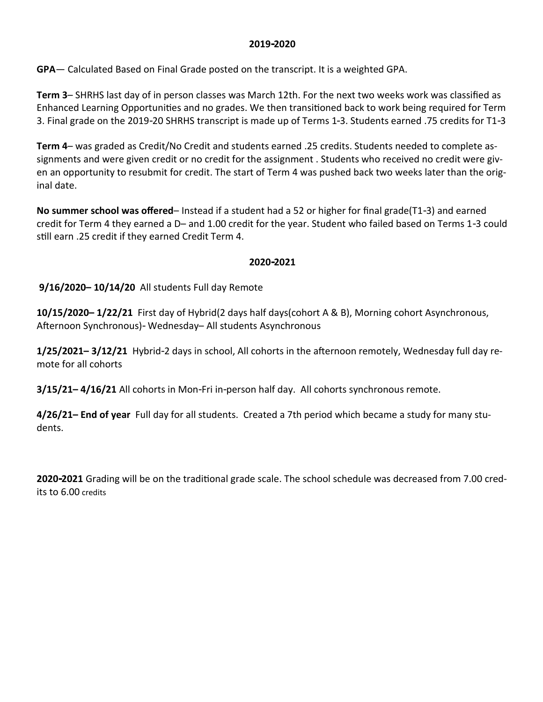### **2019-2020**

**GPA**— Calculated Based on Final Grade posted on the transcript. It is a weighted GPA.

**Term 3**– SHRHS last day of in person classes was March 12th. For the next two weeks work was classified as Enhanced Learning Opportunities and no grades. We then transitioned back to work being required for Term 3. Final grade on the 2019-20 SHRHS transcript is made up of Terms 1-3. Students earned .75 credits for T1-3

**Term 4**– was graded as Credit/No Credit and students earned .25 credits. Students needed to complete assignments and were given credit or no credit for the assignment . Students who received no credit were given an opportunity to resubmit for credit. The start of Term 4 was pushed back two weeks later than the original date.

**No summer school was offered**– Instead if a student had a 52 or higher for final grade(T1-3) and earned credit for Term 4 they earned a D– and 1.00 credit for the year. Student who failed based on Terms 1-3 could still earn .25 credit if they earned Credit Term 4.

### **2020-2021**

**9/16/2020– 10/14/20** All students Full day Remote

**10/15/2020– 1/22/21** First day of Hybrid(2 days half days(cohort A & B), Morning cohort Asynchronous, Afternoon Synchronous)- Wednesday– All students Asynchronous

**1/25/2021– 3/12/21** Hybrid-2 days in school, All cohorts in the afternoon remotely, Wednesday full day remote for all cohorts

**3/15/21– 4/16/21** All cohorts in Mon-Fri in-person half day. All cohorts synchronous remote.

**4/26/21– End of year** Full day for all students. Created a 7th period which became a study for many students.

**2020-2021** Grading will be on the traditional grade scale. The school schedule was decreased from 7.00 credits to 6.00 credits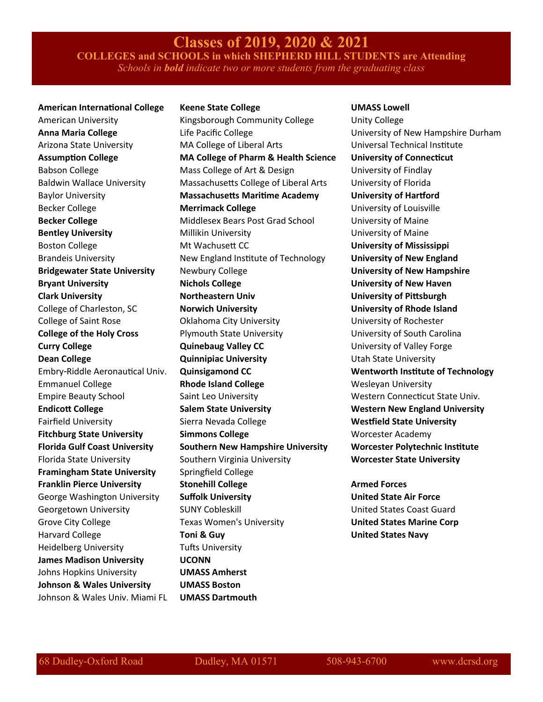### **Classes of 2019, 2020 & 2021 COLLEGES and SCHOOLS in which SHEPHERD HILL STUDENTS are Attending** *Schools in bold indicate two or more students from the graduating class*

**Framingham State University** Springfield College Heidelberg University Tufts University **James Madison University UCONN** Johns Hopkins University **UMASS Amherst Johnson & Wales University UMASS Boston** Johnson & Wales Univ. Miami FL **UMASS Dartmouth**

**American International College Keene State College UMASS Lowell** American University **Kingsborough Community College** Unity College **Anna Maria College Life Pacific College** University of New Hampshire Durham Arizona State University MA College of Liberal Arts Universal Technical Institute **Assumption College MA College of Pharm & Health Science University of Connecticut** Babson College The Mass College of Art & Design The University of Findlay Baldwin Wallace University Massachusetts College of Liberal Arts University of Florida Baylor University **Massachusetts Maritime Academy University of Hartford** Becker College **Merrimack College** University of Louisville **Becker College** The Middlesex Bears Post Grad School University of Maine **Bentley University The Contract Millikin University Contract Contract University of Maine** Boston College Mt Wachusett CC **University of Mississippi** Brandeis University New England Institute of Technology **University of New England Bridgewater State University** Newbury College **University of New Hampshire Bryant University Nichols College University of New Haven Clark University Northeastern Univ University of Pittsburgh** College of Charleston, SC **Norwich University University of Rhode Island** College of Saint Rose Oklahoma City University University of Rochester **College of the Holy Cross** Plymouth State University **Notain College of South Carolina Curry College <b>Culley College Quinebaug Valley CC University of Valley Forge Dean College <b>College Quinnipiac University** Utah State University Embry-Riddle Aeronautical Univ. **Quinsigamond CC Wentworth Institute of Technology** Emmanuel College **Rhode Island College** Wesleyan University Empire Beauty School Saint Leo University Nestern Connecticut State Univ. **Endicott College Salem State University Western New England University** Fairfield University Sierra Nevada College **Westfield State University Fitchburg State University Simmons College The Contract Convertional Academy Florida Gulf Coast University Southern New Hampshire University Worcester Polytechnic Institute** Florida State University Southern Virginia University **Worcester State University Franklin Pierce University Stonehill College <b>Armed Forces** Armed Forces George Washington University **Suffolk University United State Air Force** Georgetown University The SUNY Cobleskill Communisties Coast Guard United States Coast Guard Grove City College Texas Women's University **United States Marine Corp** Harvard College **Toni & Guy United States Navy**